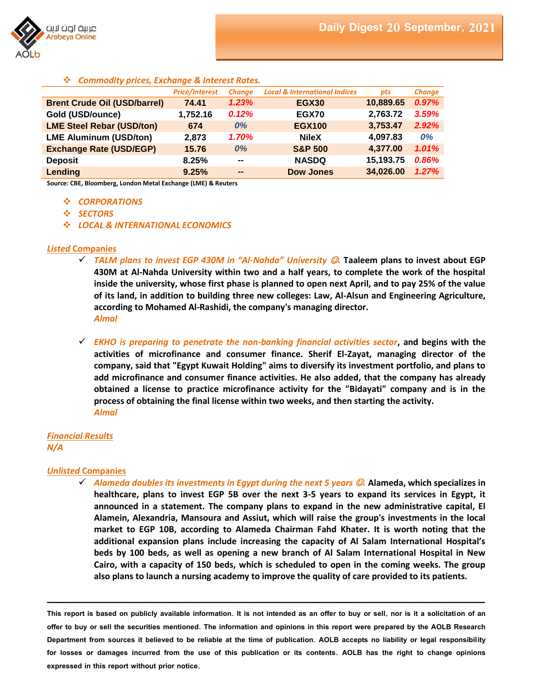

## *Commodity prices, Exchange & Interest Rates.*

|                                     | <b>Price/Interest</b> | <b>Change</b>                | <b>Local &amp; International Indices</b> | pts       | <b>Change</b> |
|-------------------------------------|-----------------------|------------------------------|------------------------------------------|-----------|---------------|
| <b>Brent Crude Oil (USD/barrel)</b> | 74.41                 | 1.23%                        | <b>EGX30</b>                             | 10,889.65 | 0.97%         |
| Gold (USD/ounce)                    | 1,752.16              | 0.12%                        | EGX70                                    | 2,763.72  | 3.59%         |
| <b>LME Steel Rebar (USD/ton)</b>    | 674                   | 0%                           | <b>EGX100</b>                            | 3,753.47  | 2.92%         |
| <b>LME Aluminum (USD/ton)</b>       | 2,873                 | 1.70%                        | <b>NileX</b>                             | 4,097.83  | 0%            |
| <b>Exchange Rate (USD/EGP)</b>      | 15.76                 | 0%                           | <b>S&amp;P 500</b>                       | 4,377.00  | 1.01%         |
| <b>Deposit</b>                      | 8.25%                 | $\qquad \qquad$              | <b>NASDQ</b>                             | 15,193.75 | 0.86%         |
| Lending                             | 9.25%                 | $\qquad \qquad \blacksquare$ | <b>Dow Jones</b>                         | 34,026.00 | 1.27%         |

**Source: CBE, Bloomberg, London Metal Exchange (LME) & Reuters**

- *CORPORATIONS*
- *SECTORS*
- *LOCAL & INTERNATIONAL ECONOMICS*

#### *Listed* **Companies**

- *TALM plans to invest EGP 430M in "Al-Nahda" University .* **Taaleem plans to invest about EGP 430M at Al-Nahda University within two and a half years, to complete the work of the hospital inside the university, whose first phase is planned to open next April, and to pay 25% of the value of its land, in addition to building three new colleges: Law, Al-Alsun and Engineering Agriculture, according to Mohamed Al-Rashidi, the company's managing director.** *Almal*
- *EKHO is preparing to penetrate the non-banking financial activities sector***, and begins with the activities of microfinance and consumer finance. Sherif El-Zayat, managing director of the company, said that "Egypt Kuwait Holding" aims to diversify its investment portfolio, and plans to add microfinance and consumer finance activities. He also added, that the company has already obtained a license to practice microfinance activity for the "Bidayati" company and is in the process of obtaining the final license within two weeks, and then starting the activity.** *Almal*

## *Financial Results N/A*

### *Unlisted* **Companies**

 *Alameda doubles its investments in Egypt during the next 5 years .* **Alameda, which specializes in healthcare, plans to invest EGP 5B over the next 3-5 years to expand its services in Egypt, it announced in a statement. The company plans to expand in the new administrative capital, El Alamein, Alexandria, Mansoura and Assiut, which will raise the group's investments in the local market to EGP 10B, according to Alameda Chairman Fahd Khater. It is worth noting that the additional expansion plans include increasing the capacity of Al Salam International Hospital's beds by 100 beds, as well as opening a new branch of Al Salam International Hospital in New Cairo, with a capacity of 150 beds, which is scheduled to open in the coming weeks. The group also plans to launch a nursing academy to improve the quality of care provided to its patients.**

**This report is based on publicly available information. It is not intended as an offer to buy or sell, nor is it a solicitation of an offer to buy or sell the securities mentioned. The information and opinions in this report were prepared by the AOLB Research Department from sources it believed to be reliable at the time of publication. AOLB accepts no liability or legal responsibility for losses or damages incurred from the use of this publication or its contents. AOLB has the right to change opinions expressed in this report without prior notice.**

**ــــــــــــــــــــــــــــــــــــــــــــــــــــــــــــــــــــــــــــــــــــــــــــــــــــــــــــــــــــــــــــــــــــــــــــــــــــــــــــــــــــــــــــــــــــــــــــــــــــــــــــــــــــــــــــــــــــــــــــــــــــــــــــــــــــــــــــــــــــــــــــــــــــــــــــــــــــــــــــــــــــــــــــــــــــــــــــــــــــــــــــــــــــــــــــــــــــــــــــــــــــــــــــــــــــــــــــــــــــــــــــــــــــــــــــــــــــــــــــــــــــــــــــــــــــ**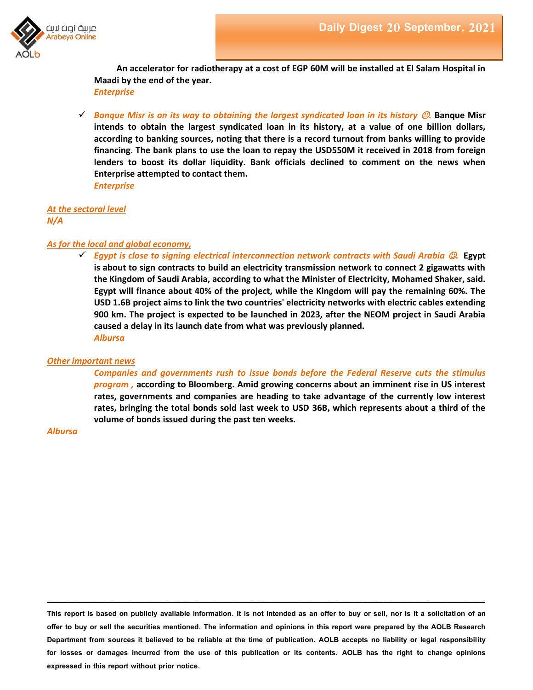

**An accelerator for radiotherapy at a cost of EGP 60M will be installed at El Salam Hospital in Maadi by the end of the year.** *Enterprise*

 *Banque Misr is on its way to obtaining the largest syndicated loan in its history .* **Banque Misr intends to obtain the largest syndicated loan in its history, at a value of one billion dollars, according to banking sources, noting that there is a record turnout from banks willing to provide financing. The bank plans to use the loan to repay the USD550M it received in 2018 from foreign lenders to boost its dollar liquidity. Bank officials declined to comment on the news when Enterprise attempted to contact them.** *Enterprise*

*At the sectoral level N/A*

### *As for the local and global economy,*

 $\checkmark$  Egypt is close to signing electrical interconnection network contracts with Saudi Arabia  $\mathcal{O}$ . Egypt **is about to sign contracts to build an electricity transmission network to connect 2 gigawatts with the Kingdom of Saudi Arabia, according to what the Minister of Electricity, Mohamed Shaker, said. Egypt will finance about 40% of the project, while the Kingdom will pay the remaining 60%. The USD 1.6B project aims to link the two countries' electricity networks with electric cables extending 900 km. The project is expected to be launched in 2023, after the NEOM project in Saudi Arabia caused a delay in its launch date from what was previously planned.** *Albursa*

#### *Other important news*

*Companies and governments rush to issue bonds before the Federal Reserve cuts the stimulus program ,* **according to Bloomberg. Amid growing concerns about an imminent rise in US interest rates, governments and companies are heading to take advantage of the currently low interest rates, bringing the total bonds sold last week to USD 36B, which represents about a third of the volume of bonds issued during the past ten weeks.**

*Albursa*

**This report is based on publicly available information. It is not intended as an offer to buy or sell, nor is it a solicitation of an offer to buy or sell the securities mentioned. The information and opinions in this report were prepared by the AOLB Research Department from sources it believed to be reliable at the time of publication. AOLB accepts no liability or legal responsibility for losses or damages incurred from the use of this publication or its contents. AOLB has the right to change opinions expressed in this report without prior notice.**

**ــــــــــــــــــــــــــــــــــــــــــــــــــــــــــــــــــــــــــــــــــــــــــــــــــــــــــــــــــــــــــــــــــــــــــــــــــــــــــــــــــــــــــــــــــــــــــــــــــــــــــــــــــــــــــــــــــــــــــــــــــــــــــــــــــــــــــــــــــــــــــــــــــــــــــــــــــــــــــــــــــــــــــــــــــــــــــــــــــــــــــــــــــــــــــــــــــــــــــــــــــــــــــــــــــــــــــــــــــــــــــــــــــــــــــــــــــــــــــــــــــــــــــــــــــــ**